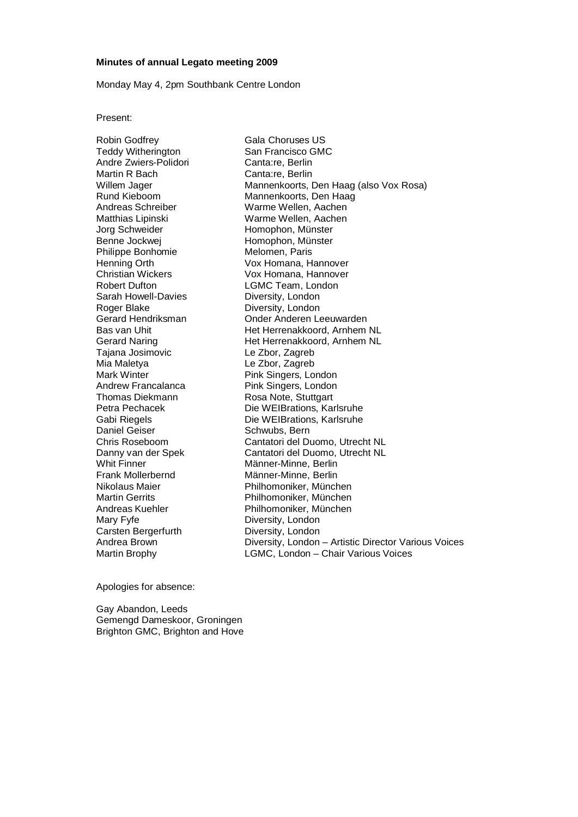### **Minutes of annual Legato meeting 2009**

Monday May 4, 2pm Southbank Centre London

#### Present:

Teddy Witherington **San Francisco GMC**<br>
Andre Zwiers-Polidori **Santata**: Canta:re, Berlin Andre Zwiers-Polidori Martin R Bach Canta:re, Berlin<br>Willem Jager Canta: Mannenkoorts, I Jorg Schweider **Homophon, Münster**<br>Benne Jockwei **Homophon, Münster** Philippe Bonhomie<br>Henning Orth Robert Dufton LGMC Team, London Sarah Howell-Davies **Diversity**, London Roger Blake **Diversity, London**<br>Gerard Hendriksman **Brand Conder Anderen Le** Tajana Josimovic<br>Mia Maletya dia Le Zbor, Zagreb Mia Maletya **Mia Maletya Le Zbor, Zagreb**<br>Mark Winter **Michael Alexander Control Pink Singers**. Lo Andrew Francalanca<br>
Thomas Diekmann<br>
Pink Singers, London<br>
Rosa Note, Stuttgart Thomas Diekmann Rosa Note, Stuttgart<br>
Petra Pechacek Die WElBrations, Kar Daniel Geiser **Schwubs, Bern**<br>
Chris Roseboom **Schwubs, Bern**<br>
Cantatori del D Whit Finner<br>
Frank Mollerbernd<br>
Frank Mollerbernd<br>
Männer-Minne, Berlin Frank Mollerbernd Männer-Minne, Berlin Mary Fyfe **Diversity**, London Carsten Bergerfurth Diversity, London

Robin Godfrey Gala Choruses US Willem Jager **Mannenkoorts, Den Haag (also Vox Rosa)**<br>Rund Kieboom Mannenkoorts, Den Haag Rund Kieboom **Mannenkoorts, Den Haag<br>Andreas Schreiber Manne Wellen, Aachen** Andreas Schreiber Warme Wellen, Aachen Matthias Lipinski Warme Wellen, Aachen<br>Jorg Schweider Warme Homophon, Münster Homophon, Münster<br>Melomen, Paris Vox Homana, Hannover Christian Wickers Vox Homana, Hannover Gerard Hendriksman **Gerard Hendriksman** Onder Anderen Leeuwarden<br>Bas van Uhit Bas van Het Herrenakkoord. Arnhem Het Herrenakkoord, Arnhem NL Gerard Naring **Het Herrenakkoord, Arnhem NL** Pink Singers, London Petra Pechacek Die WEIBrations, Karlsruhe<br>Gabi Riegels Cabi Die WEIBrations, Karlsruhe Gabi Riegels **Die WEIBrations, Karlsruhe**<br>Daniel Geiser **Die Schwubs**, Bern Chris Roseboom Cantatori del Duomo, Utrecht NL Danny van der Spek Cantatori del Duomo, Utrecht NL Nikolaus Maier **Nicholaus Manuel Englisher Philhomoniker**, München<br>Martin Gerrits **München**<br>Philhomoniker, München Philhomoniker, München Andreas Kuehler Philhomoniker, München Andrea Brown **Diversity, London – Artistic Director Various Voices**<br>Martin Brophy **Martion Contains LGMC, London – Chair Various Voices** LGMC, London – Chair Various Voices

Apologies for absence:

Gay Abandon, Leeds Gemengd Dameskoor, Groningen Brighton GMC, Brighton and Hove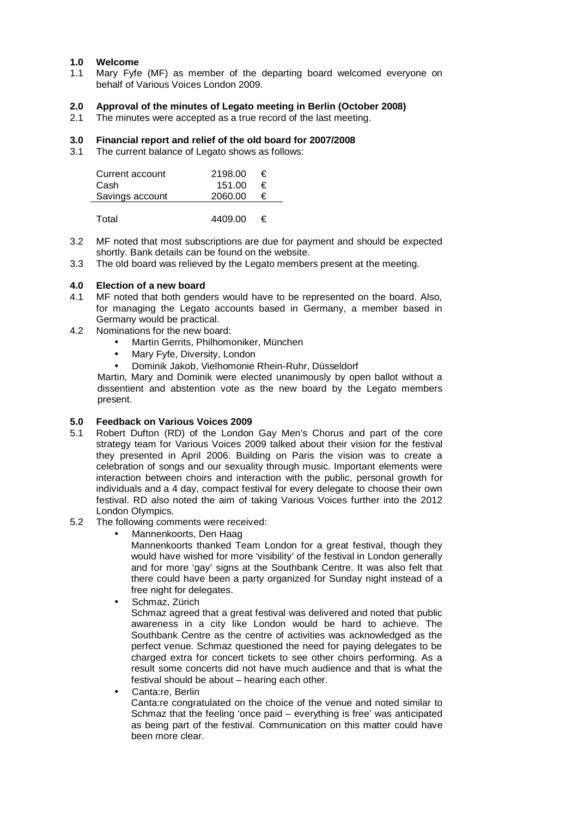## **1.0 Welcome**

1.1 Mary Fyfe (MF) as member of the departing board welcomed everyone on behalf of Various Voices London 2009.

## **2.0 Approval of the minutes of Legato meeting in Berlin (October 2008)**

2.1 The minutes were accepted as a true record of the last meeting.

# **3.0 Financial report and relief of the old board for 2007/2008**

3.1 The current balance of Legato shows as follows:

| Current account | 2198.00 | € |  |
|-----------------|---------|---|--|
| Cash            | 151.00  | € |  |
| Savings account | 2060.00 | € |  |
| Total           | 4409.00 | € |  |

- 3.2 MF noted that most subscriptions are due for payment and should be expected shortly. Bank details can be found on the website.
- 3.3 The old board was relieved by the Legato members present at the meeting.

# **4.0 Election of a new board**

- 4.1 MF noted that both genders would have to be represented on the board. Also, for managing the Legato accounts based in Germany, a member based in Germany would be practical.
- 4.2 Nominations for the new board:
	- Martin Gerrits, Philhomoniker, München
	- Mary Fyfe, Diversity, London
	- Dominik Jakob, Vielhomonie Rhein-Ruhr, Düsseldorf

Martin, Mary and Dominik were elected unanimously by open ballot without a dissentient and abstention vote as the new board by the Legato members present.

## **5.0 Feedback on Various Voices 2009**

- 5.1 Robert Dufton (RD) of the London Gay Men's Chorus and part of the core strategy team for Various Voices 2009 talked about their vision for the festival they presented in April 2006. Building on Paris the vision was to create a celebration of songs and our sexuality through music. Important elements were interaction between choirs and interaction with the public, personal growth for individuals and a 4 day, compact festival for every delegate to choose their own festival. RD also noted the aim of taking Various Voices further into the 2012 London Olympics.
- 5.2 The following comments were received:
	- Mannenkoorts, Den Haag

Mannenkoorts thanked Team London for a great festival, though they would have wished for more 'visibility' of the festival in London generally and for more 'gay' signs at the Southbank Centre. It was also felt that there could have been a party organized for Sunday night instead of a free night for delegates.

Schmaz, Zürich

Schmaz agreed that a great festival was delivered and noted that public awareness in a city like London would be hard to achieve. The Southbank Centre as the centre of activities was acknowledged as the perfect venue. Schmaz questioned the need for paying delegates to be charged extra for concert tickets to see other choirs performing. As a result some concerts did not have much audience and that is what the festival should be about – hearing each other.

• Canta:re, Berlin

Canta:re congratulated on the choice of the venue and noted similar to Schmaz that the feeling 'once paid – everything is free' was anticipated as being part of the festival. Communication on this matter could have been more clear.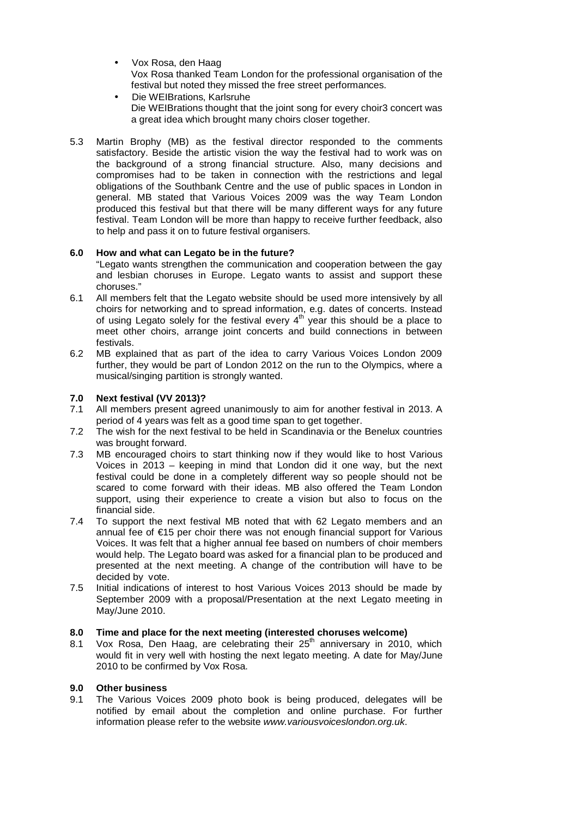- Vox Rosa, den Haag Vox Rosa thanked Team London for the professional organisation of the festival but noted they missed the free street performances.
- Die WEIBrations, Karlsruhe Die WEIBrations thought that the joint song for every choir3 concert was a great idea which brought many choirs closer together.
- 5.3 Martin Brophy (MB) as the festival director responded to the comments satisfactory. Beside the artistic vision the way the festival had to work was on the background of a strong financial structure. Also, many decisions and compromises had to be taken in connection with the restrictions and legal obligations of the Southbank Centre and the use of public spaces in London in general. MB stated that Various Voices 2009 was the way Team London produced this festival but that there will be many different ways for any future festival. Team London will be more than happy to receive further feedback, also to help and pass it on to future festival organisers.

## **6.0 How and what can Legato be in the future?**

"Legato wants strengthen the communication and cooperation between the gay and lesbian choruses in Europe. Legato wants to assist and support these choruses."

- 6.1 All members felt that the Legato website should be used more intensively by all choirs for networking and to spread information, e.g. dates of concerts. Instead of using Legato solely for the festival every  $4<sup>th</sup>$  year this should be a place to meet other choirs, arrange joint concerts and build connections in between festivals.
- 6.2 MB explained that as part of the idea to carry Various Voices London 2009 further, they would be part of London 2012 on the run to the Olympics, where a musical/singing partition is strongly wanted.

# **7.0 Next festival (VV 2013)?**

- All members present agreed unanimously to aim for another festival in 2013. A period of 4 years was felt as a good time span to get together.
- 7.2 The wish for the next festival to be held in Scandinavia or the Benelux countries was brought forward.
- 7.3 MB encouraged choirs to start thinking now if they would like to host Various Voices in 2013 – keeping in mind that London did it one way, but the next festival could be done in a completely different way so people should not be scared to come forward with their ideas. MB also offered the Team London support, using their experience to create a vision but also to focus on the financial side.
- 7.4 To support the next festival MB noted that with 62 Legato members and an annual fee of €15 per choir there was not enough financial support for Various Voices. It was felt that a higher annual fee based on numbers of choir members would help. The Legato board was asked for a financial plan to be produced and presented at the next meeting. A change of the contribution will have to be decided by vote.
- 7.5 Initial indications of interest to host Various Voices 2013 should be made by September 2009 with a proposal/Presentation at the next Legato meeting in May/June 2010.

## **8.0 Time and place for the next meeting (interested choruses welcome)**

8.1 Vox Rosa, Den Haag, are celebrating their  $25<sup>th</sup>$  anniversary in 2010, which would fit in very well with hosting the next legato meeting. A date for May/June 2010 to be confirmed by Vox Rosa.

## **9.0 Other business**

9.1 The Various Voices 2009 photo book is being produced, delegates will be notified by email about the completion and online purchase. For further information please refer to the website *[www.variousvoiceslondon.org.uk](http://www.variousvoiceslondon.org.uk.)*.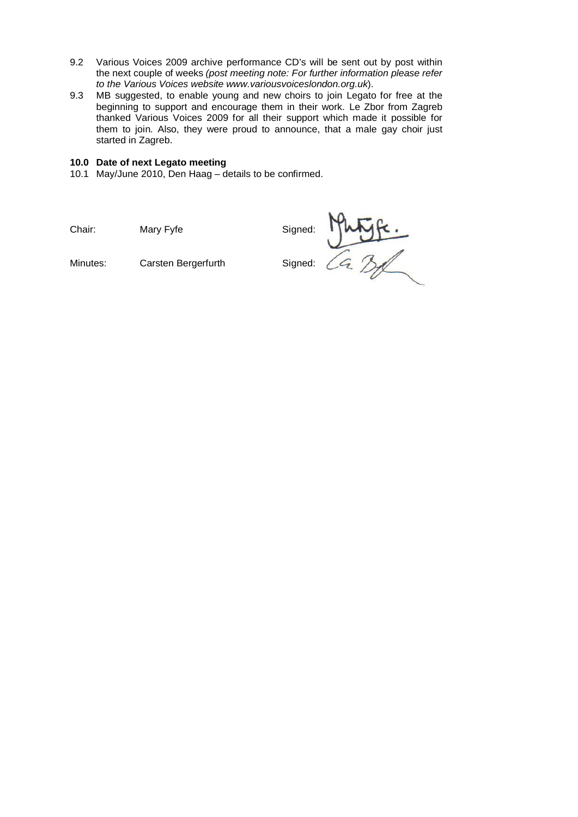- 9.2 Various Voices 2009 archive performance CD's will be sent out by post within the next couple of weeks *(post meeting note: For further information please refer to the Various Voices website [www.variousvoiceslondon.org.uk](http://www.variousvoiceslondon.org.uk).)*).
- 9.3 MB suggested, to enable young and new choirs to join Legato for free at the beginning to support and encourage them in their work. Le Zbor from Zagreb thanked Various Voices 2009 for all their support which made it possible for them to join. Also, they were proud to announce, that a male gay choir just started in Zagreb.

## **10.0 Date of next Legato meeting**

10.1 May/June 2010, Den Haag – details to be confirmed.

Chair: Mary Fyfe Signed: **CALACTE**<br>Minutes: Carsten Bergerfurth Signed: CALACTE Minutes: Carsten Bergerfurth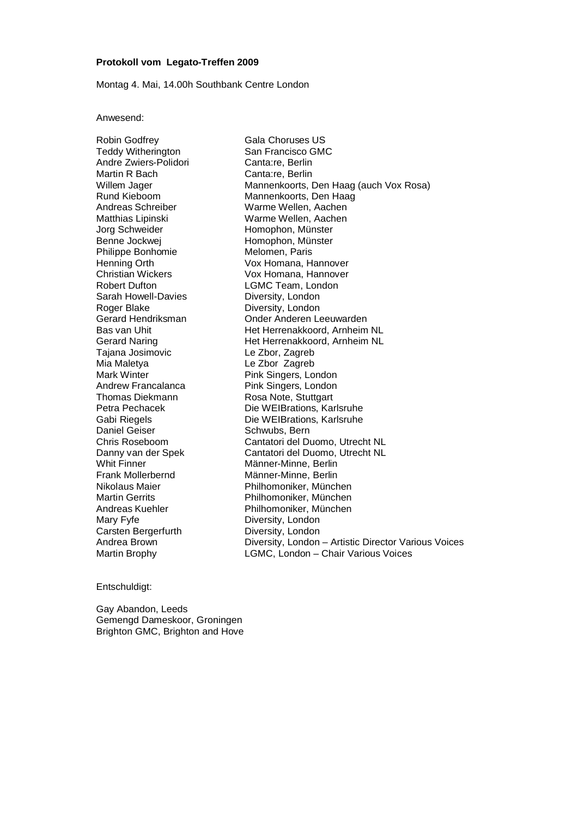#### **Protokoll vom Legato-Treffen 2009**

Montag 4. Mai, 14.00h Southbank Centre London

#### Anwesend:

Robin Godfrey Gala Choruses US Teddy Witherington **San Francisco GMC**<br>
Andre Zwiers-Polidori **Santata**: Canta:re, Berlin Andre Zwiers-Polidori Martin R Bach Canta:re, Berlin<br>Willem Jager Canta: Mannenkoorts, I Jorg Schweider **Homophon, Münster**<br>Benne Jockwei **Homophon, Münster** Philippe Bonhomie<br>Henning Orth Robert Dufton LGMC Team, London Sarah Howell-Davies **Diversity**, London Roger Blake **Diversity, London**<br>Gerard Hendriksman **Brand Conder Anderen Le** Tajana Josimovic Le Zbor, Zagreb Mia Maletya Le Zbor Zagreb Andrew Francalanca<br>
Thomas Diekmann<br>
Pink Singers, London<br>
Rosa Note, Stuttgart Daniel Geiser **Schwubs, Bern**<br>
Chris Roseboom **Schwubs, Bern**<br>
Cantatori del D Whit Finner<br>
Frank Mollerbernd<br>
Frank Mollerbernd<br>
Männer-Minne, Berlin Frank Mollerbernd Männer-Minne, Berlin Mary Fyfe **Diversity**, London Carsten Bergerfurth Diversity, London

Willem Jager **Mannenkoorts, Den Haag (auch Vox Rosa)**<br>Rund Kieboom Mannenkoorts, Den Haag Rund Kieboom **Mannenkoorts, Den Haag<br>Andreas Schreiber Manne Wellen, Aachen** Andreas Schreiber Warme Wellen, Aachen<br>Matthias Lipinski Warme Wellen, Aachen Matthias Lipinski Warme Wellen, Aachen<br>Jorg Schweider Warme Homophon, Münster Homophon, Münster<br>Melomen, Paris Henning Orth Vox Homana, Hannover<br>
Christian Wickers<br>
Vox Homana, Hannover Vox Homana, Hannover Gerard Hendriksman **Gerard Hendriksman** Onder Anderen Leeuwarden<br>Bas van Uhit **Bas van Hendriksmann Het Herrenakkoord**. Arnheim Het Herrenakkoord, Arnheim NL Gerard Naring **Het Herrenakkoord, Arnheim NL** Pink Singers, London Rosa Note, Stuttgart Petra Pechacek Die WEIBrations, Karlsruhe<br>Gabi Riegels Cabi Die WEIBrations, Karlsruhe Gabi Riegels **Die WEIBrations, Karlsruhe**<br>Daniel Geiser **Die Schwubs**, Bern Chris Roseboom Cantatori del Duomo, Utrecht NL Danny van der Spek Cantatori del Duomo, Utrecht NL Nikolaus Maier **Nicholaus Manuel Englisher Philhomoniker**, München<br>Martin Gerrits **München**<br>Philhomoniker, München Philhomoniker, München Andreas Kuehler Philhomoniker, München Andrea Brown **Diversity, London – Artistic Director Various Voices**<br>Martin Brophy **Martion Contains LGMC, London – Chair Various Voices** LGMC, London – Chair Various Voices

#### Entschuldigt:

Gay Abandon, Leeds Gemengd Dameskoor, Groningen Brighton GMC, Brighton and Hove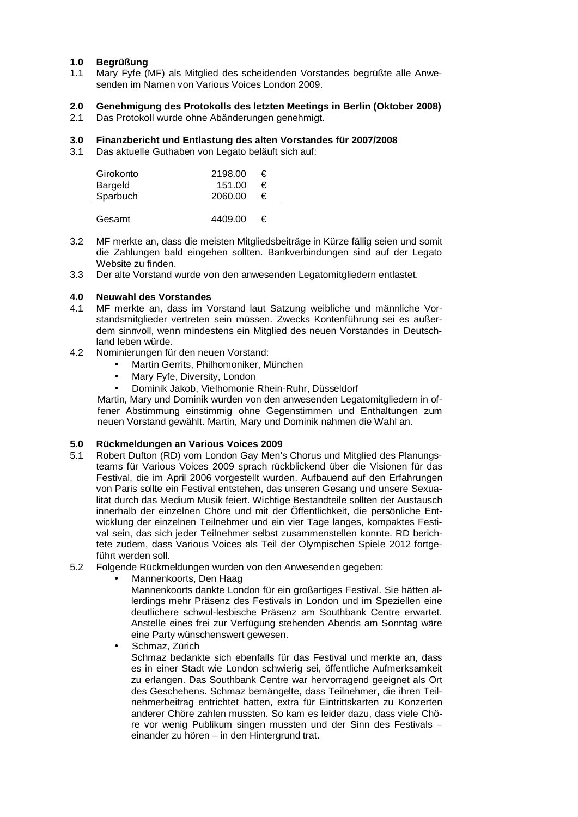## **1.0 Begrüßung**

1.1 Mary Fyfe (MF) als Mitglied des scheidenden Vorstandes begrüßte alle Anwesenden im Namen von Various Voices London 2009.

## **2.0 Genehmigung des Protokolls des letzten Meetings in Berlin (Oktober 2008)**

2.1 Das Protokoll wurde ohne Abänderungen genehmigt.

# **3.0 Finanzbericht und Entlastung des alten Vorstandes für 2007/2008**

3.1 Das aktuelle Guthaben von Legato beläuft sich auf:

| Girokonto | 2198.00 | € |  |
|-----------|---------|---|--|
| Bargeld   | 151.00  | € |  |
| Sparbuch  | 2060.00 | € |  |
| Gesamt    | 4409.00 | € |  |

- 3.2 MF merkte an, dass die meisten Mitgliedsbeiträge in Kürze fällig seien und somit die Zahlungen bald eingehen sollten. Bankverbindungen sind auf der Legato Website zu finden.
- 3.3 Der alte Vorstand wurde von den anwesenden Legatomitgliedern entlastet.

## **4.0 Neuwahl des Vorstandes**

- 4.1 MF merkte an, dass im Vorstand laut Satzung weibliche und männliche Vorstandsmitglieder vertreten sein müssen. Zwecks Kontenführung sei es außerdem sinnvoll, wenn mindestens ein Mitglied des neuen Vorstandes in Deutschland leben würde.
- 4.2 Nominierungen für den neuen Vorstand:
	- Martin Gerrits, Philhomoniker, München
	- Mary Fyfe, Diversity, London
	- Dominik Jakob, Vielhomonie Rhein-Ruhr, Düsseldorf

Martin, Mary und Dominik wurden von den anwesenden Legatomitgliedern in offener Abstimmung einstimmig ohne Gegenstimmen und Enthaltungen zum neuen Vorstand gewählt. Martin, Mary und Dominik nahmen die Wahl an.

## **5.0 Rückmeldungen an Various Voices 2009**

- 5.1 Robert Dufton (RD) vom London Gay Men's Chorus und Mitglied des Planungsteams für Various Voices 2009 sprach rückblickend über die Visionen für das Festival, die im April 2006 vorgestellt wurden. Aufbauend auf den Erfahrungen von Paris sollte ein Festival entstehen, das unseren Gesang und unsere Sexualität durch das Medium Musik feiert. Wichtige Bestandteile sollten der Austausch innerhalb der einzelnen Chöre und mit der Öffentlichkeit, die persönliche Entwicklung der einzelnen Teilnehmer und ein vier Tage langes, kompaktes Festival sein, das sich jeder Teilnehmer selbst zusammenstellen konnte. RD berichtete zudem, dass Various Voices als Teil der Olympischen Spiele 2012 fortgeführt werden soll.
- 5.2 Folgende Rückmeldungen wurden von den Anwesenden gegeben:
	- Mannenkoorts, Den Haag

Mannenkoorts dankte London für ein großartiges Festival. Sie hätten allerdings mehr Präsenz des Festivals in London und im Speziellen eine deutlichere schwul-lesbische Präsenz am Southbank Centre erwartet. Anstelle eines frei zur Verfügung stehenden Abends am Sonntag wäre eine Party wünschenswert gewesen.

Schmaz, Zürich Schmaz bedankte sich ebenfalls für das Festival und merkte an, dass es in einer Stadt wie London schwierig sei, öffentliche Aufmerksamkeit zu erlangen. Das Southbank Centre war hervorragend geeignet als Ort des Geschehens. Schmaz bemängelte, dass Teilnehmer, die ihren Teilnehmerbeitrag entrichtet hatten, extra für Eintrittskarten zu Konzerten anderer Chöre zahlen mussten. So kam es leider dazu, dass viele Chöre vor wenig Publikum singen mussten und der Sinn des Festivals – einander zu hören – in den Hintergrund trat.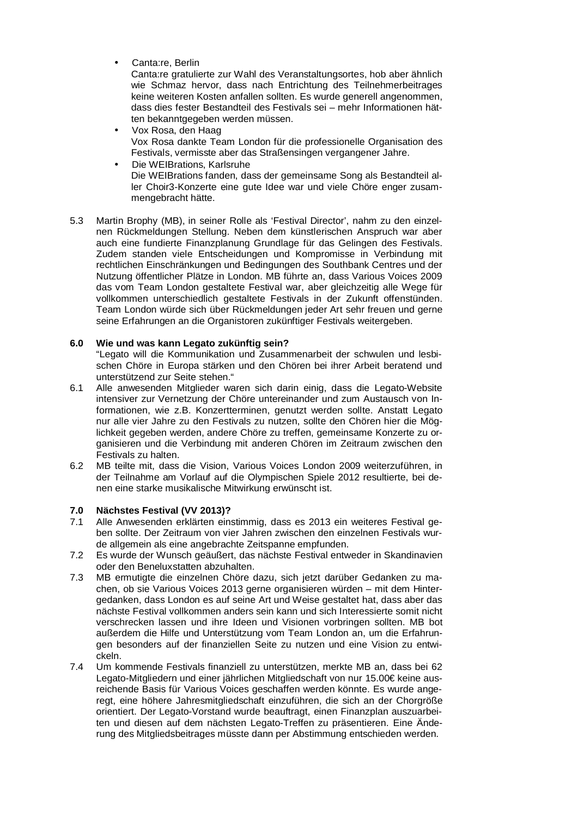• Canta:re, Berlin

Canta:re gratulierte zur Wahl des Veranstaltungsortes, hob aber ähnlich wie Schmaz hervor, dass nach Entrichtung des Teilnehmerbeitrages keine weiteren Kosten anfallen sollten. Es wurde generell angenommen, dass dies fester Bestandteil des Festivals sei – mehr Informationen hätten bekanntgegeben werden müssen.

- Vox Rosa, den Haag Vox Rosa dankte Team London für die professionelle Organisation des Festivals, vermisste aber das Straßensingen vergangener Jahre.
- Die WEIBrations, Karlsruhe Die WEIBrations fanden, dass der gemeinsame Song als Bestandteil aller Choir3-Konzerte eine gute Idee war und viele Chöre enger zusammengebracht hätte.
- 5.3 Martin Brophy (MB), in seiner Rolle als 'Festival Director', nahm zu den einzelnen Rückmeldungen Stellung. Neben dem künstlerischen Anspruch war aber auch eine fundierte Finanzplanung Grundlage für das Gelingen des Festivals. Zudem standen viele Entscheidungen und Kompromisse in Verbindung mit rechtlichen Einschränkungen und Bedingungen des Southbank Centres und der Nutzung öffentlicher Plätze in London. MB führte an, dass Various Voices 2009 das vom Team London gestaltete Festival war, aber gleichzeitig alle Wege für vollkommen unterschiedlich gestaltete Festivals in der Zukunft offenstünden. Team London würde sich über Rückmeldungen jeder Art sehr freuen und gerne seine Erfahrungen an die Organistoren zukünftiger Festivals weitergeben.

## **6.0 Wie und was kann Legato zukünftig sein?**

"Legato will die Kommunikation und Zusammenarbeit der schwulen und lesbischen Chöre in Europa stärken und den Chören bei ihrer Arbeit beratend und unterstützend zur Seite stehen."

- 6.1 Alle anwesenden Mitglieder waren sich darin einig, dass die Legato-Website intensiver zur Vernetzung der Chöre untereinander und zum Austausch von Informationen, wie z.B. Konzertterminen, genutzt werden sollte. Anstatt Legato nur alle vier Jahre zu den Festivals zu nutzen, sollte den Chören hier die Möglichkeit gegeben werden, andere Chöre zu treffen, gemeinsame Konzerte zu organisieren und die Verbindung mit anderen Chören im Zeitraum zwischen den Festivals zu halten.
- 6.2 MB teilte mit, dass die Vision, Various Voices London 2009 weiterzuführen, in der Teilnahme am Vorlauf auf die Olympischen Spiele 2012 resultierte, bei denen eine starke musikalische Mitwirkung erwünscht ist.

## **7.0 Nächstes Festival (VV 2013)?**

- 7.1 Alle Anwesenden erklärten einstimmig, dass es 2013 ein weiteres Festival geben sollte. Der Zeitraum von vier Jahren zwischen den einzelnen Festivals wurde allgemein als eine angebrachte Zeitspanne empfunden.
- 7.2 Es wurde der Wunsch geäußert, das nächste Festival entweder in Skandinavien oder den Beneluxstatten abzuhalten.
- 7.3 MB ermutigte die einzelnen Chöre dazu, sich jetzt darüber Gedanken zu machen, ob sie Various Voices 2013 gerne organisieren würden – mit dem Hintergedanken, dass London es auf seine Art und Weise gestaltet hat, dass aber das nächste Festival vollkommen anders sein kann und sich Interessierte somit nicht verschrecken lassen und ihre Ideen und Visionen vorbringen sollten. MB bot außerdem die Hilfe und Unterstützung vom Team London an, um die Erfahrungen besonders auf der finanziellen Seite zu nutzen und eine Vision zu entwickeln.
- 7.4 Um kommende Festivals finanziell zu unterstützen, merkte MB an, dass bei 62 Legato-Mitgliedern und einer jährlichen Mitgliedschaft von nur 15.00€ keine ausreichende Basis für Various Voices geschaffen werden könnte. Es wurde angeregt, eine höhere Jahresmitgliedschaft einzuführen, die sich an der Chorgröße orientiert. Der Legato-Vorstand wurde beauftragt, einen Finanzplan auszuarbeiten und diesen auf dem nächsten Legato-Treffen zu präsentieren. Eine Änderung des Mitgliedsbeitrages müsste dann per Abstimmung entschieden werden.